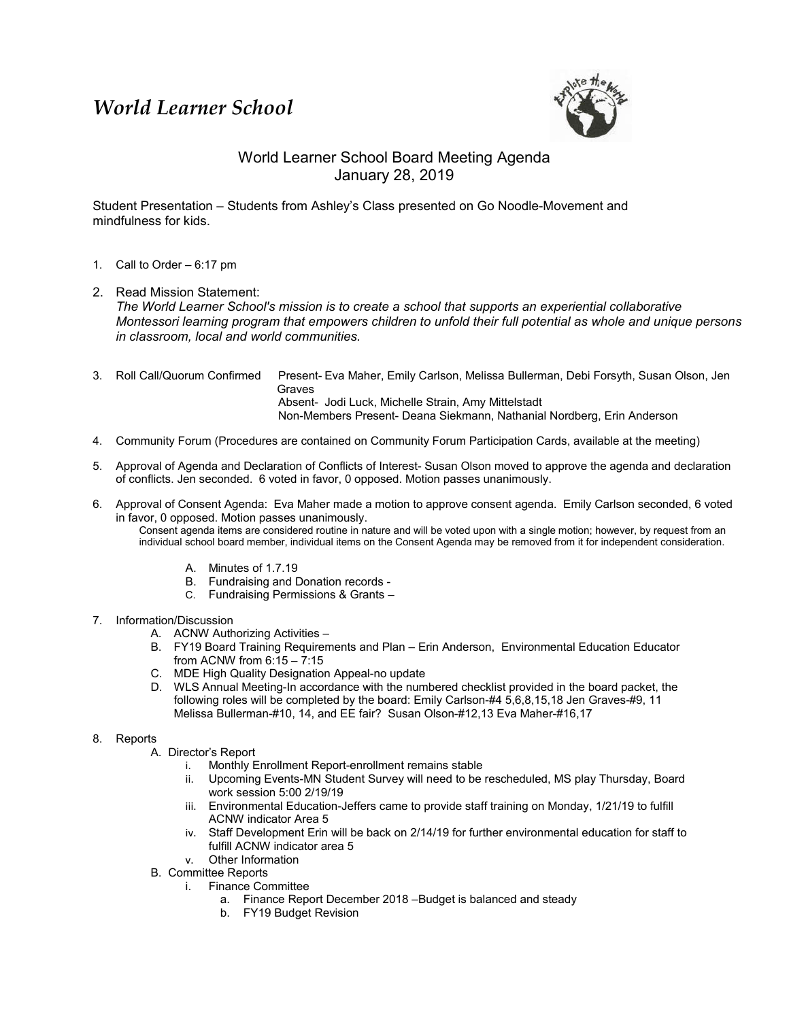## *World Learner School*



## World Learner School Board Meeting Agenda January 28, 2019

Student Presentation – Students from Ashley's Class presented on Go Noodle-Movement and mindfulness for kids.

- 1. Call to Order 6:17 pm
- 2. Read Mission Statement: *The World Learner School's mission is to create a school that supports an experiential collaborative Montessori learning program that empowers children to unfold their full potential as whole and unique persons in classroom, local and world communities.*
- 3. Roll Call/Quorum Confirmed Present- Eva Maher, Emily Carlson, Melissa Bullerman, Debi Forsyth, Susan Olson, Jen Graves Absent- Jodi Luck, Michelle Strain, Amy Mittelstadt Non-Members Present- Deana Siekmann, Nathanial Nordberg, Erin Anderson
- 4. Community Forum (Procedures are contained on Community Forum Participation Cards, available at the meeting)
- 5. Approval of Agenda and Declaration of Conflicts of Interest- Susan Olson moved to approve the agenda and declaration of conflicts. Jen seconded. 6 voted in favor, 0 opposed. Motion passes unanimously.
- 6. Approval of Consent Agenda: Eva Maher made a motion to approve consent agenda. Emily Carlson seconded, 6 voted in favor, 0 opposed. Motion passes unanimously.

Consent agenda items are considered routine in nature and will be voted upon with a single motion; however, by request from an individual school board member, individual items on the Consent Agenda may be removed from it for independent consideration.

- A. Minutes of 1.7.19
- B. Fundraising and Donation records -
- C. Fundraising Permissions & Grants –
- 7. Information/Discussion
	- A. ACNW Authorizing Activities –
	- B. FY19 Board Training Requirements and Plan Erin Anderson, Environmental Education Educator from ACNW from 6:15 – 7:15
	- C. MDE High Quality Designation Appeal-no update
	- D. WLS Annual Meeting-In accordance with the numbered checklist provided in the board packet, the following roles will be completed by the board: Emily Carlson-#4 5,6,8,15,18 Jen Graves-#9, 11 Melissa Bullerman-#10, 14, and EE fair? Susan Olson-#12,13 Eva Maher-#16,17
- 8. Reports
	- A. Director's Report
		- i. Monthly Enrollment Report-enrollment remains stable
		- ii. Upcoming Events-MN Student Survey will need to be rescheduled, MS play Thursday, Board work session 5:00 2/19/19
		- iii. Environmental Education-Jeffers came to provide staff training on Monday, 1/21/19 to fulfill ACNW indicator Area 5
		- iv. Staff Development Erin will be back on 2/14/19 for further environmental education for staff to fulfill ACNW indicator area 5
		- v. Other Information
	- B. Committee Reports
		- i. Finance Committee
			- a. Finance Report December 2018 –Budget is balanced and steady
			- b. FY19 Budget Revision